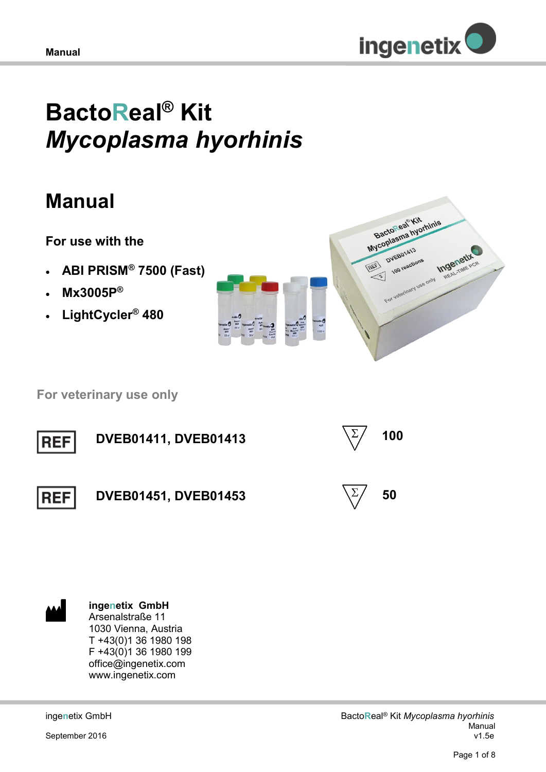

# **BactoReal® Kit**  *Mycoplasma hyorhinis*

## **Manual**

**For use with the** 

- **ABI PRISM® 7500 (Fast)**
- **Mx3005P®**
- **LightCycler® 480**



 **For veterinary use only**



**ingenetix GmbH** Arsenalstraße 11 1030 Vienna, Austria T +43(0)1 36 1980 198 F +43(0)1 36 1980 199 office@ingenetix.com www.ingenetix.com

inge**n**etix GmbH

September 2016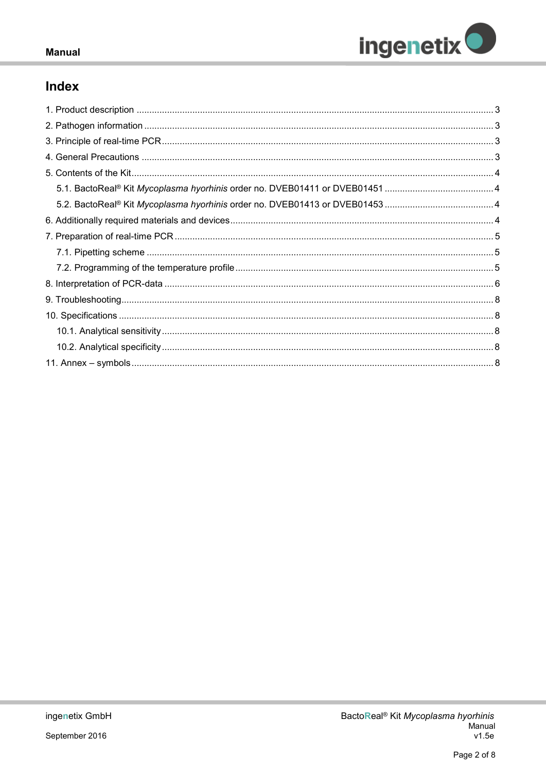

## Index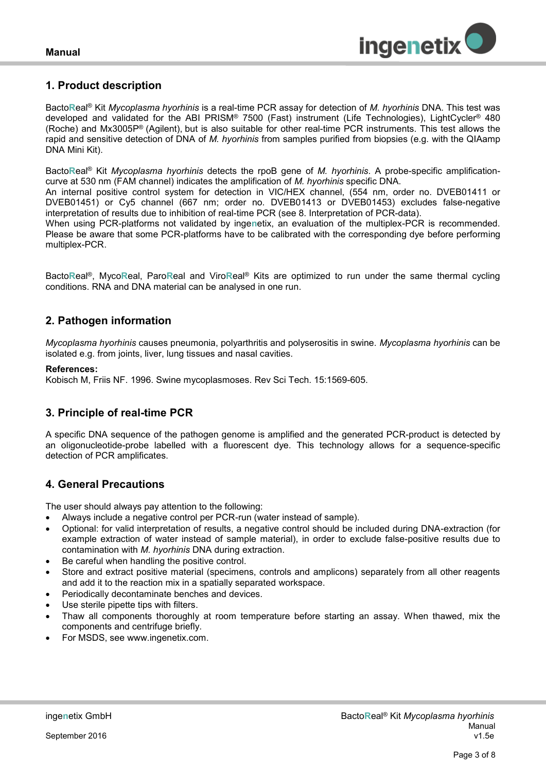

## <span id="page-2-0"></span>**1. Product description**

Bacto**R**eal® Kit *Mycoplasma hyorhinis* is a real-time PCR assay for detection of *M. hyorhinis* DNA. This test was developed and validated for the ABI PRISM® 7500 (Fast) instrument (Life Technologies), LightCycler® 480 (Roche) and Mx3005P® (Agilent), but is also suitable for other real-time PCR instruments. This test allows the rapid and sensitive detection of DNA of *M. hyorhinis* from samples purified from biopsies (e.g. with the QIAamp DNA Mini Kit).

Bacto**R**eal® Kit *Mycoplasma hyorhinis* detects the rpoB gene of *M. hyorhinis*. A probe-specific amplificationcurve at 530 nm (FAM channel) indicates the amplification of *M. hyorhinis* specific DNA.

An internal positive control system for detection in VIC/HEX channel, (554 nm, order no. DVEB01411 or DVEB01451) or Cy5 channel (667 nm; order no. DVEB01413 or DVEB01453) excludes false-negative interpretation of results due to inhibition of real-time PCR (see 8. Interpretation of PCR-data).

When using PCR-platforms not validated by inge**n**etix, an evaluation of the multiplex-PCR is recommended. Please be aware that some PCR-platforms have to be calibrated with the corresponding dye before performing multiplex-PCR.

Bacto**R**eal®, Myco**R**eal, Paro**R**eal and Viro**R**eal® Kits are optimized to run under the same thermal cycling conditions. RNA and DNA material can be analysed in one run.

## <span id="page-2-1"></span>**2. Pathogen information**

*Mycoplasma hyorhinis* causes pneumonia, polyarthritis and polyserositis in swine. *Mycoplasma hyorhinis* can be isolated e.g. from joints, liver, lung tissues and nasal cavities.

## **References:**

Kobisch M, Friis NF. 1996. Swine mycoplasmoses. Rev Sci Tech. 15:1569-605.

## <span id="page-2-2"></span>**3. Principle of real-time PCR**

A specific DNA sequence of the pathogen genome is amplified and the generated PCR-product is detected by an oligonucleotide-probe labelled with a fluorescent dye. This technology allows for a sequence-specific detection of PCR amplificates.

## <span id="page-2-3"></span>**4. General Precautions**

The user should always pay attention to the following:

- Always include a negative control per PCR-run (water instead of sample).
- Optional: for valid interpretation of results, a negative control should be included during DNA-extraction (for example extraction of water instead of sample material), in order to exclude false-positive results due to contamination with *M. hyorhinis* DNA during extraction.
- Be careful when handling the positive control.
- Store and extract positive material (specimens, controls and amplicons) separately from all other reagents and add it to the reaction mix in a spatially separated workspace.
- Periodically decontaminate benches and devices.
- Use sterile pipette tips with filters.
- Thaw all components thoroughly at room temperature before starting an assay. When thawed, mix the components and centrifuge briefly.
- For MSDS, see www.ingenetix.com.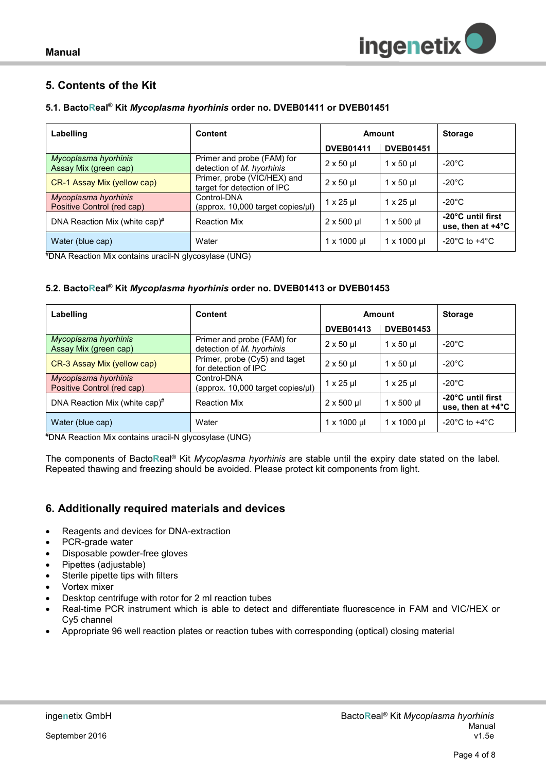## <span id="page-3-0"></span>**5. Contents of the Kit**

## <span id="page-3-1"></span>**5.1. BactoReal® Kit** *Mycoplasma hyorhinis* **order no. DVEB01411 or DVEB01451**

| Labelling                                          | <b>Content</b>                                             | Amount             |                     | <b>Storage</b>                                   |
|----------------------------------------------------|------------------------------------------------------------|--------------------|---------------------|--------------------------------------------------|
|                                                    |                                                            | <b>DVEB01411</b>   | <b>DVEB01451</b>    |                                                  |
| Mycoplasma hyorhinis<br>Assay Mix (green cap)      | Primer and probe (FAM) for<br>detection of M. hyorhinis    | $2 \times 50$ µ    | $1 \times 50$ µ     | $-20^{\circ}$ C                                  |
| CR-1 Assay Mix (yellow cap)                        | Primer, probe (VIC/HEX) and<br>target for detection of IPC | $2 \times 50$ µ    | $1 \times 50$ µ     | $-20^{\circ}$ C                                  |
| Mycoplasma hyorhinis<br>Positive Control (red cap) | Control-DNA<br>(approx. 10,000 target copies/µl)           | $1 \times 25$ µ    | $1 \times 25$ µ     | $-20^{\circ}$ C                                  |
| DNA Reaction Mix (white cap)#                      | <b>Reaction Mix</b>                                        | $2 \times 500$ µl  | $1 \times 500$ µl   | -20°C until first<br>use, then at $+4^{\circ}$ C |
| Water (blue cap)                                   | Water                                                      | $1 \times 1000$ µl | $1 \times 1000 \mu$ | -20 $^{\circ}$ C to +4 $^{\circ}$ C              |

#DNA Reaction Mix contains uracil-N glycosylase (UNG)

## <span id="page-3-2"></span>**5.2. BactoReal® Kit** *Mycoplasma hyorhinis* **order no. DVEB01413 or DVEB01453**

| Labelling                                          | <b>Content</b>                                          | Amount              |                                  | <b>Storage</b>                                   |
|----------------------------------------------------|---------------------------------------------------------|---------------------|----------------------------------|--------------------------------------------------|
|                                                    |                                                         | <b>DVEB01413</b>    | <b>DVEB01453</b>                 |                                                  |
| Mycoplasma hyorhinis<br>Assay Mix (green cap)      | Primer and probe (FAM) for<br>detection of M. hyorhinis | $2 \times 50$ µ     | $1 \times 50$ µ                  | $-20^{\circ}$ C                                  |
| CR-3 Assay Mix (yellow cap)                        | Primer, probe (Cy5) and taget<br>for detection of IPC   | $2 \times 50$ µ     | $1 \times 50$ µ                  | $-20^{\circ}$ C                                  |
| Mycoplasma hyorhinis<br>Positive Control (red cap) | Control-DNA<br>(approx. 10,000 target copies/µl)        | $1 \times 25$ µ     | $1 \times 25$ µl                 | $-20^{\circ}$ C                                  |
| DNA Reaction Mix (white cap) <sup>#</sup>          | <b>Reaction Mix</b>                                     | $2 \times 500$ µl   | $1 \times 500$ µl                | -20°C until first<br>use, then at $+4^{\circ}$ C |
| Water (blue cap)                                   | Water                                                   | $1 \times 1000 \mu$ | $1 \times 1000 \,\mathrm{\upmu}$ | -20 $^{\circ}$ C to +4 $^{\circ}$ C              |

#DNA Reaction Mix contains uracil-N glycosylase (UNG)

The components of Bacto**R**eal® Kit *Mycoplasma hyorhinis* are stable until the expiry date stated on the label. Repeated thawing and freezing should be avoided. Please protect kit components from light.

## <span id="page-3-3"></span>**6. Additionally required materials and devices**

- Reagents and devices for DNA-extraction
- PCR-grade water
- Disposable powder-free gloves
- Pipettes (adjustable)
- Sterile pipette tips with filters
- Vortex mixer
- Desktop centrifuge with rotor for 2 ml reaction tubes
- Real-time PCR instrument which is able to detect and differentiate fluorescence in FAM and VIC/HEX or Cy5 channel
- Appropriate 96 well reaction plates or reaction tubes with corresponding (optical) closing material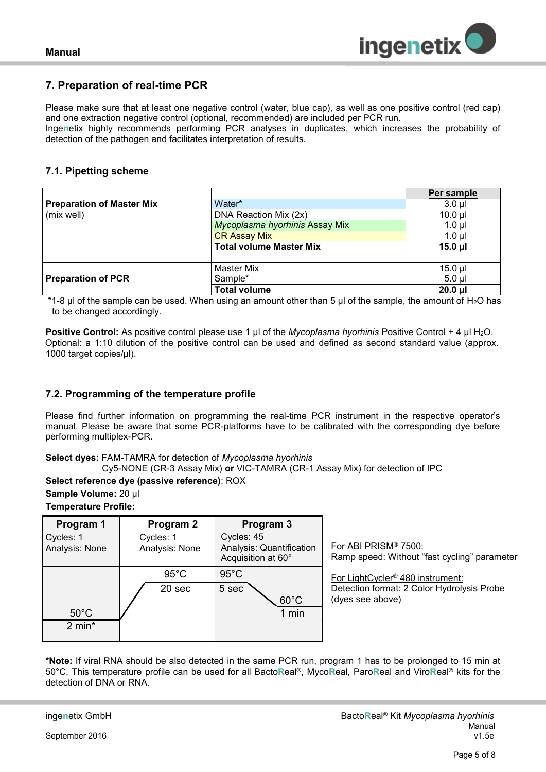

## <span id="page-4-0"></span>**7. Preparation of real-time PCR**

Please make sure that at least one negative control (water, blue cap), as well as one positive control (red cap) and one extraction negative control (optional, recommended) are included per PCR run.

Inge**n**etix highly recommends performing PCR analyses in duplicates, which increases the probability of detection of the pathogen and facilitates interpretation of results*.*

## <span id="page-4-1"></span>**7.1. Pipetting scheme**

|                           |                                | Per sample   |
|---------------------------|--------------------------------|--------------|
| Preparation of Master Mix | Water*                         | $3.0$ $\mu$  |
| (mix well)                | DNA Reaction Mix (2x)          | $10.0$ $\mu$ |
|                           | Mycoplasma hyorhinis Assay Mix | $1.0 \mu$    |
|                           | <b>CR Assay Mix</b>            | $1.0$ $\mu$  |
|                           | <b>Total volume Master Mix</b> | $15.0 \mu$   |
|                           |                                |              |
|                           | <b>Master Mix</b>              | $15.0$ µl    |
| <b>Preparation of PCR</b> | Sample*                        | $5.0$ ul     |
|                           | <b>Total volume</b>            | $20.0$ $\mu$ |

 $*1-8$  µl of the sample can be used. When using an amount other than 5 µl of the sample, the amount of H<sub>2</sub>O has to be changed accordingly.

**Positive Control:** As positive control please use 1 µl of the *Mycoplasma hyorhinis* Positive Control + 4 µl H<sub>2</sub>O. Optional: a 1:10 dilution of the positive control can be used and defined as second standard value (approx. 1000 target copies/µl).

## <span id="page-4-2"></span>**7.2. Programming of the temperature profile**

Please find further information on programming the real-time PCR instrument in the respective operator's manual. Please be aware that some PCR-platforms have to be calibrated with the corresponding dye before performing multiplex-PCR.

## **Select dyes:** FAM-TAMRA for detection of *Mycoplasma hyorhinis*

Cy5-NONE (CR-3 Assay Mix) **or** VIC-TAMRA (CR-1 Assay Mix) for detection of IPC

## **Select reference dye (passive reference)**: ROX

**Sample Volume:** 20 µl

## **Temperature Profile:**

| Program 1<br>Cycles: 1<br>Analysis: None | Program 2<br>Cycles: 1<br>Analysis: None |                | Program 3<br>Cycles: 45<br>Analysis: Quantification<br>Acquisition at 60° |
|------------------------------------------|------------------------------------------|----------------|---------------------------------------------------------------------------|
|                                          |                                          | $95^{\circ}$ C | $95^{\circ}$ C                                                            |
|                                          |                                          | 20 sec         | 5 sec<br>$60^{\circ}$ C                                                   |
| $50^{\circ}$ C                           |                                          |                | 1 min                                                                     |
| $2 min*$                                 |                                          |                |                                                                           |

For ABI PRISM® 7500: Ramp speed: Without "fast cycling" parameter

For LightCycler® 480 instrument: Detection format: 2 Color Hydrolysis Probe (dyes see above)

**\*Note:** If viral RNA should be also detected in the same PCR run, program 1 has to be prolonged to 15 min at 50°C. This temperature profile can be used for all Bacto**R**eal®, Myco**R**eal, Paro**R**eal and Viro**R**eal® kits for the detection of DNA or RNA.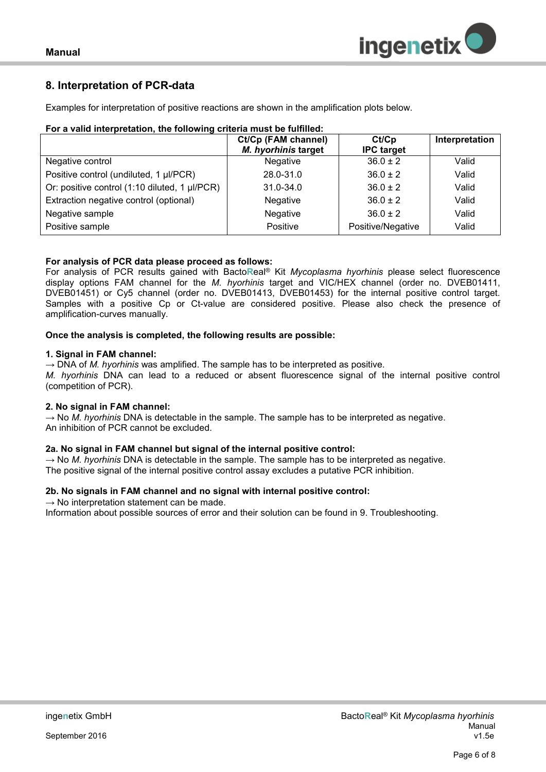

## <span id="page-5-0"></span>**8. Interpretation of PCR-data**

Examples for interpretation of positive reactions are shown in the amplification plots below.

| For a valid interpretation, the following criteria must be fulfilled: |  |
|-----------------------------------------------------------------------|--|
|                                                                       |  |

|                                               | Ct/Cp (FAM channel) | Ct/Cp             | Interpretation |
|-----------------------------------------------|---------------------|-------------------|----------------|
|                                               | M. hyorhinis target | <b>IPC target</b> |                |
| Negative control                              | <b>Negative</b>     | $36.0 \pm 2$      | Valid          |
| Positive control (undiluted, 1 µl/PCR)        | 28.0-31.0           | $36.0 \pm 2$      | Valid          |
| Or: positive control (1:10 diluted, 1 µl/PCR) | $31.0 - 34.0$       | $36.0 \pm 2$      | Valid          |
| Extraction negative control (optional)        | Negative            | $36.0 \pm 2$      | Valid          |
| Negative sample                               | Negative            | $36.0 \pm 2$      | Valid          |
| Positive sample                               | Positive            | Positive/Negative | Valid          |

## **For analysis of PCR data please proceed as follows:**

For analysis of PCR results gained with Bacto**R**eal® Kit *Mycoplasma hyorhinis* please select fluorescence display options FAM channel for the *M. hyorhinis* target and VIC/HEX channel (order no. DVEB01411, DVEB01451) or Cy5 channel (order no. DVEB01413, DVEB01453) for the internal positive control target. Samples with a positive Cp or Ct-value are considered positive. Please also check the presence of amplification-curves manually.

**Once the analysis is completed, the following results are possible:**

#### **1. Signal in FAM channel:**

 $\rightarrow$  DNA of *M. hyorhinis* was amplified. The sample has to be interpreted as positive. *M. hyorhinis* DNA can lead to a reduced or absent fluorescence signal of the internal positive control (competition of PCR).

## **2. No signal in FAM channel:**

 $\rightarrow$  No *M. hyorhinis* DNA is detectable in the sample. The sample has to be interpreted as negative. An inhibition of PCR cannot be excluded.

## **2a. No signal in FAM channel but signal of the internal positive control:**

 $\rightarrow$  No *M. hyorhinis* DNA is detectable in the sample. The sample has to be interpreted as negative. The positive signal of the internal positive control assay excludes a putative PCR inhibition.

## **2b. No signals in FAM channel and no signal with internal positive control:**

 $\rightarrow$  No interpretation statement can be made.

Information about possible sources of error and their solution can be found in 9. Troubleshooting.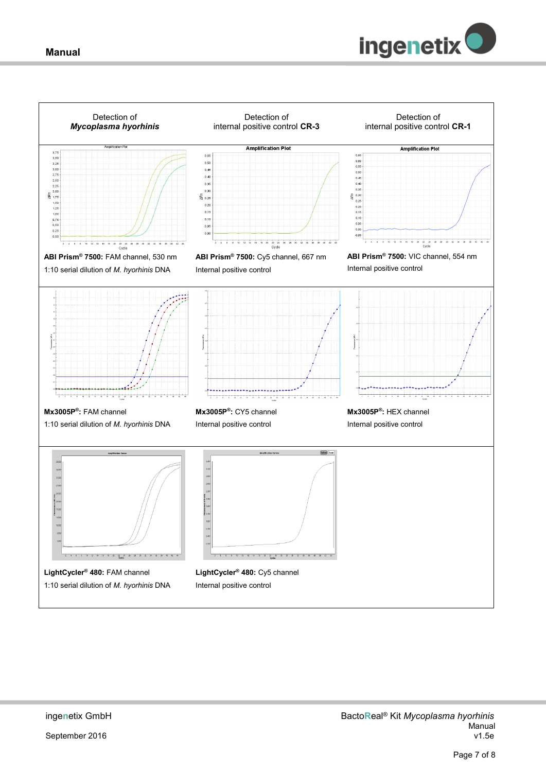